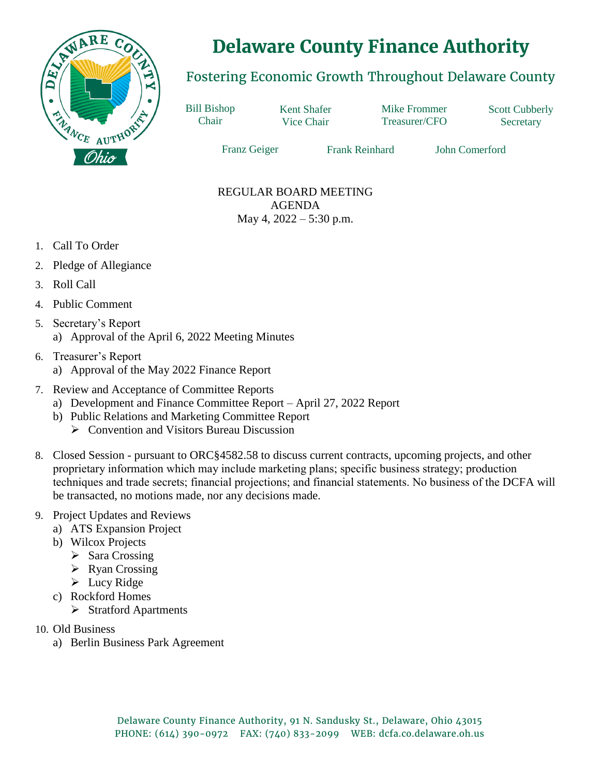

## **Delaware County Finance Authority**

## Fostering Economic Growth Throughout Delaware County

Bill Bishop Chair

Kent Shafer Vice Chair

Mike Frommer Treasurer/CFO Scott Cubberly **Secretary** 

Franz Geiger Frank Reinhard John Comerford

## REGULAR BOARD MEETING AGENDA May 4, 2022 – 5:30 p.m.

- 1. Call To Order
- 2. Pledge of Allegiance
- 3. Roll Call
- 4. Public Comment
- 5. Secretary's Report a) Approval of the April 6, 2022 Meeting Minutes
- 6. Treasurer's Report a) Approval of the May 2022 Finance Report
- 7. Review and Acceptance of Committee Reports
	- a) Development and Finance Committee Report April 27, 2022 Report
	- b) Public Relations and Marketing Committee Report
		- **►** Convention and Visitors Bureau Discussion
- 8. Closed Session pursuant to ORC§4582.58 to discuss current contracts, upcoming projects, and other proprietary information which may include marketing plans; specific business strategy; production techniques and trade secrets; financial projections; and financial statements. No business of the DCFA will be transacted, no motions made, nor any decisions made.
- 9. Project Updates and Reviews
	- a) ATS Expansion Project
	- b) Wilcox Projects
		- $\triangleright$  Sara Crossing
		- $\triangleright$  Ryan Crossing
		- $\blacktriangleright$  Lucy Ridge
	- c) Rockford Homes
		- $\triangleright$  Stratford Apartments
- 10. Old Business
	- a) Berlin Business Park Agreement